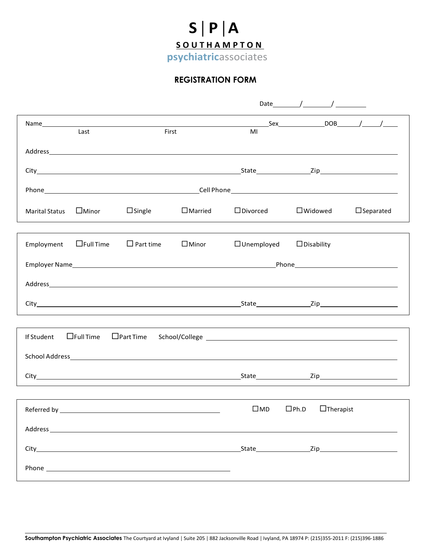

## **REGISTRATION FORM**

|                                | First<br>Last   |                                                | MI                |                    |                                                 |  |
|--------------------------------|-----------------|------------------------------------------------|-------------------|--------------------|-------------------------------------------------|--|
|                                |                 |                                                |                   |                    |                                                 |  |
|                                |                 |                                                |                   |                    |                                                 |  |
|                                |                 |                                                |                   |                    |                                                 |  |
| <b>Marital Status</b>          | $\square$ Minor | $\Box$ Single                                  | $\square$ Married | $\square$ Divorced | $\Box$ Widowed $\Box$ Separated                 |  |
| Employment                     |                 | $\Box$ Full Time $\Box$ Part time $\Box$ Minor |                   | $\Box$ Unemployed  | $\Box$ Disability                               |  |
|                                |                 |                                                |                   |                    |                                                 |  |
|                                |                 |                                                |                   |                    |                                                 |  |
|                                |                 |                                                |                   |                    |                                                 |  |
| $\Box$ Full Time<br>If Student |                 |                                                |                   |                    |                                                 |  |
|                                |                 |                                                |                   |                    |                                                 |  |
| Referred by _                  |                 |                                                |                   |                    | $\square$ MD $\square$ Ph.D $\square$ Therapist |  |
|                                |                 |                                                |                   |                    |                                                 |  |
|                                |                 |                                                |                   |                    |                                                 |  |
|                                |                 |                                                |                   |                    |                                                 |  |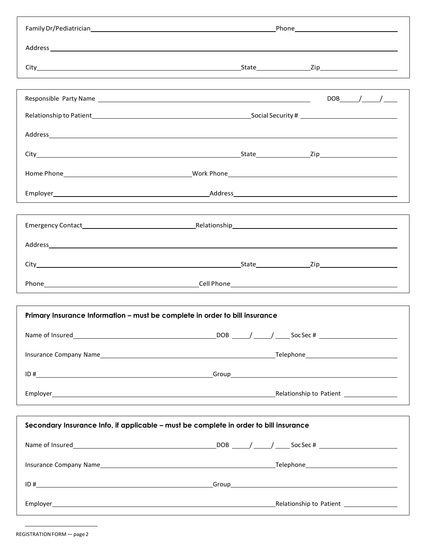| Primary Insurance Information - must be complete in order to bill insurance           |  |
|---------------------------------------------------------------------------------------|--|
|                                                                                       |  |
|                                                                                       |  |
|                                                                                       |  |
|                                                                                       |  |
|                                                                                       |  |
| Secondary Insurance Info, if applicable - must be complete in order to bill insurance |  |
|                                                                                       |  |
|                                                                                       |  |
|                                                                                       |  |
|                                                                                       |  |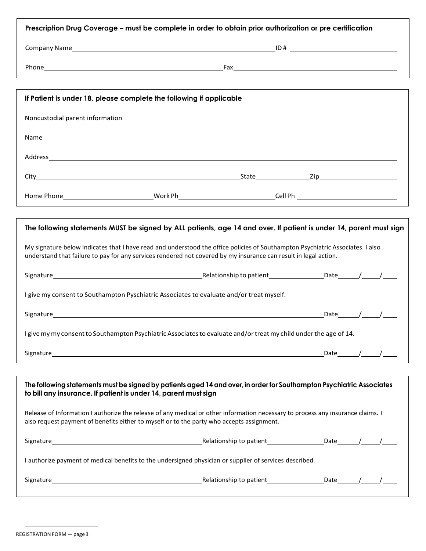| Prescription Drug Coverage – must be complete in order to obtain prior authorization or pre certification                                                                                                                                          |  |  |
|----------------------------------------------------------------------------------------------------------------------------------------------------------------------------------------------------------------------------------------------------|--|--|
|                                                                                                                                                                                                                                                    |  |  |
|                                                                                                                                                                                                                                                    |  |  |
|                                                                                                                                                                                                                                                    |  |  |
| If Patient is under 18, please complete the following if applicable                                                                                                                                                                                |  |  |
| Noncustodial parent information                                                                                                                                                                                                                    |  |  |
| Name and the contract of the contract of the contract of the contract of the contract of the contract of the contract of the contract of the contract of the contract of the contract of the contract of the contract of the c                     |  |  |
|                                                                                                                                                                                                                                                    |  |  |
|                                                                                                                                                                                                                                                    |  |  |
|                                                                                                                                                                                                                                                    |  |  |
|                                                                                                                                                                                                                                                    |  |  |
| The following statements MUST be signed by ALL patients, age 14 and over. If patient is under 14, parent must sign                                                                                                                                 |  |  |
| My signature below indicates that I have read and understood the office policies of Southampton Psychiatric Associates. I also<br>understand that failure to pay for any services rendered not covered by my insurance can result in legal action. |  |  |
|                                                                                                                                                                                                                                                    |  |  |
| I give my consent to Southampton Pyschiatric Associates to evaluate and/or treat myself.                                                                                                                                                           |  |  |
|                                                                                                                                                                                                                                                    |  |  |
| I give my my consent to Southampton Psychiatric Associates to evaluate and/or treat my child under the age of 14.                                                                                                                                  |  |  |
| Signature Date Date Date Development Contract Contract Contract Contract Contract Contract Contract Contract Contract Contract Contract Contract Contract Contract Contract Contract Contract Contract Contract Contract Contr                     |  |  |
|                                                                                                                                                                                                                                                    |  |  |
| The following statements must be signed by patients aged 14 and over, in order for Southampton Psychiatric Associates<br>to bill any insurance. If patient is under 14, parent must sign                                                           |  |  |
| Release of Information I authorize the release of any medical or other information necessary to process any insurance claims. I<br>also request payment of benefits either to myself or to the party who accepts assignment.                       |  |  |
|                                                                                                                                                                                                                                                    |  |  |
| I authorize payment of medical benefits to the undersigned physician or supplier of services described.                                                                                                                                            |  |  |
|                                                                                                                                                                                                                                                    |  |  |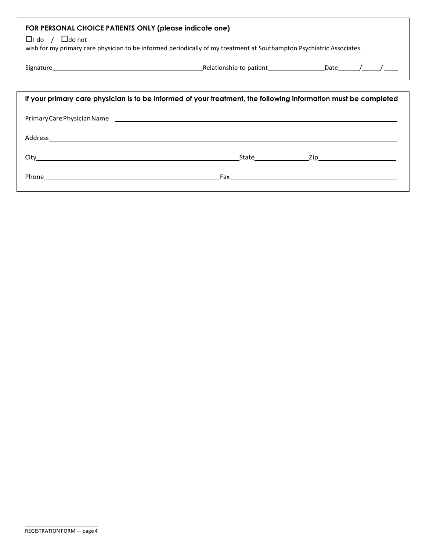| FOR PERSONAL CHOICE PATIENTS ONLY (please indicate one)<br>$\Box$ I do / $\Box$ do not<br>wish for my primary care physician to be informed periodically of my treatment at Southampton Psychiatric Associates.                      |                                                                                                                                                                                                                               |  |  |  |  |
|--------------------------------------------------------------------------------------------------------------------------------------------------------------------------------------------------------------------------------------|-------------------------------------------------------------------------------------------------------------------------------------------------------------------------------------------------------------------------------|--|--|--|--|
|                                                                                                                                                                                                                                      | Signature Date Device Data Communications Authority Contract Data Communications Authority Contract Data Communications Authority Communications and Data Communications Authority Communications and Data Communications and |  |  |  |  |
|                                                                                                                                                                                                                                      |                                                                                                                                                                                                                               |  |  |  |  |
| If your primary care physician is to be informed of your treatment, the following information must be completed                                                                                                                      |                                                                                                                                                                                                                               |  |  |  |  |
| Primary Care Physician Name <b>contract the contract of the contract of the contract of the contract of the contract of the contract of the contract of the contract of the contract of the contract of the contract of the cont</b> |                                                                                                                                                                                                                               |  |  |  |  |
|                                                                                                                                                                                                                                      |                                                                                                                                                                                                                               |  |  |  |  |
|                                                                                                                                                                                                                                      |                                                                                                                                                                                                                               |  |  |  |  |
|                                                                                                                                                                                                                                      |                                                                                                                                                                                                                               |  |  |  |  |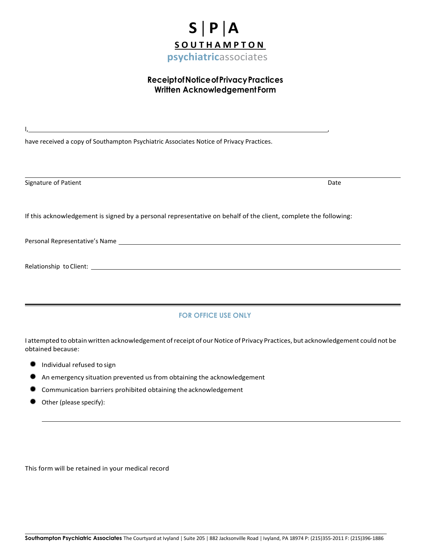

# **ReceiptofNoticeofPrivacyPractices Written AcknowledgementForm**

| <u> 1989 - Andrea Stadt Britain, amerikansk politiker (d. 1989)</u><br>have received a copy of Southampton Psychiatric Associates Notice of Privacy Practices. |      |  |  |  |
|----------------------------------------------------------------------------------------------------------------------------------------------------------------|------|--|--|--|
| Signature of Patient                                                                                                                                           | Date |  |  |  |
|                                                                                                                                                                |      |  |  |  |
| If this acknowledgement is signed by a personal representative on behalf of the client, complete the following:                                                |      |  |  |  |
|                                                                                                                                                                |      |  |  |  |
|                                                                                                                                                                |      |  |  |  |
|                                                                                                                                                                |      |  |  |  |

## **FOR OFFICE USE ONLY**

I attempted to obtain written acknowledgement of receipt of our Notice of Privacy Practices, but acknowledgement could not be obtained because:

- $\#$  Individual refused to sign
- $\#$  An emergency situation prevented us from obtaining the acknowledgement
- $\dagger$  Communication barriers prohibited obtaining the acknowledgement
- $\bullet$  Other (please specify):

This form will be retained in your medical record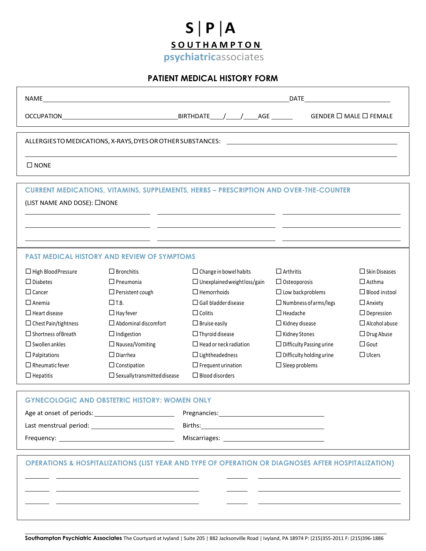**S O U T H A M P T O N**

**psychiatric**associates

**S** | **P** |**A**

## **PATIENT MEDICAL HISTORY FORM**

| DATE And the state of the state of the state of the state of the state of the state of the state of the state of the state of the state of the state of the state of the state of the state of the state of the state of the s                                                                                                                                                                                                                               |                                                                                                                                                                                                                                                                        |                                                                                                                                                                                                                                                                                                                 |                                                                                                                                                                                                                                                                        |                                                                                                                                                                                      |  |  |
|--------------------------------------------------------------------------------------------------------------------------------------------------------------------------------------------------------------------------------------------------------------------------------------------------------------------------------------------------------------------------------------------------------------------------------------------------------------|------------------------------------------------------------------------------------------------------------------------------------------------------------------------------------------------------------------------------------------------------------------------|-----------------------------------------------------------------------------------------------------------------------------------------------------------------------------------------------------------------------------------------------------------------------------------------------------------------|------------------------------------------------------------------------------------------------------------------------------------------------------------------------------------------------------------------------------------------------------------------------|--------------------------------------------------------------------------------------------------------------------------------------------------------------------------------------|--|--|
|                                                                                                                                                                                                                                                                                                                                                                                                                                                              |                                                                                                                                                                                                                                                                        | GENDER $\square$ MALE $\square$ FEMALE                                                                                                                                                                                                                                                                          |                                                                                                                                                                                                                                                                        |                                                                                                                                                                                      |  |  |
|                                                                                                                                                                                                                                                                                                                                                                                                                                                              |                                                                                                                                                                                                                                                                        | ALLERGIES TO MEDICATIONS, X-RAYS, DYES OR OTHER SUBSTANCES: National Contract of the contract of the contract of the contract of the contract of the contract of the contract of the contract of the contract of the contract                                                                                   |                                                                                                                                                                                                                                                                        |                                                                                                                                                                                      |  |  |
| $\square$ NONE                                                                                                                                                                                                                                                                                                                                                                                                                                               |                                                                                                                                                                                                                                                                        |                                                                                                                                                                                                                                                                                                                 |                                                                                                                                                                                                                                                                        |                                                                                                                                                                                      |  |  |
| <b>CURRENT MEDICATIONS, VITAMINS, SUPPLEMENTS, HERBS - PRESCRIPTION AND OVER-THE-COUNTER</b><br>(LIST NAME AND DOSE): CNONE                                                                                                                                                                                                                                                                                                                                  |                                                                                                                                                                                                                                                                        |                                                                                                                                                                                                                                                                                                                 |                                                                                                                                                                                                                                                                        |                                                                                                                                                                                      |  |  |
|                                                                                                                                                                                                                                                                                                                                                                                                                                                              | <b>PAST MEDICAL HISTORY AND REVIEW OF SYMPTOMS</b>                                                                                                                                                                                                                     |                                                                                                                                                                                                                                                                                                                 |                                                                                                                                                                                                                                                                        |                                                                                                                                                                                      |  |  |
| $\Box$ High Blood Pressure<br>$\Box$ Diabetes<br>$\Box$ Cancer<br>$\Box$ Anemia<br>$\Box$ Heart disease<br>$\Box$ Chest Pain/tightness<br>$\Box$ Shortness of Breath<br>$\square$ Swollen ankles<br>$\Box$ Palpitations<br>$\Box$ Rheumatic fever<br>$\Box$ Hepatitis                                                                                                                                                                                        | $\Box$ Bronchitis<br>$\Box$ Pneumonia<br>$\Box$ Persistent cough<br>$\Box$ T.B.<br>$\Box$ Hay fever<br>$\Box$ Abdominal discomfort<br>$\Box$ Indigestion<br>$\square$ Nausea/Vomiting<br>$\Box$ Diarrhea<br>$\Box$ Constipation<br>$\Box$ Sexually transmitted disease | $\Box$ Change in bowel habits<br>$\Box$ Unexplained weight loss/gain<br>$\Box$ Hemorrhoids<br>$\Box$ Gall bladder disease<br>$\Box$ Colitis<br>$\Box$ Bruise easily<br>$\Box$ Thyroid disease<br>$\Box$ Head or neck radiation<br>$\Box$ Lightheadedness<br>$\Box$ Frequent urination<br>$\Box$ Blood disorders | $\Box$ Arthritis<br>$\Box$ Osteoporosis<br>$\Box$ Low back problems<br>$\Box$ Numbness of arms/legs<br>$\Box$ Headache<br>$\Box$ Kidney disease<br>$\Box$ Kidney Stones<br>$\Box$ Difficulty Passing urine<br>$\Box$ Difficulty holding urine<br>$\Box$ Sleep problems | $\square$ Skin Diseases<br>$\Box$ Asthma<br>$\Box$ Blood instool<br>$\Box$ Anxiety<br>$\Box$ Depression<br>$\Box$ Alcohol abuse<br>$\Box$ Drug Abuse<br>$\Box$ Gout<br>$\Box$ Ulcers |  |  |
| <b>GYNECOLOGIC AND OBSTETRIC HISTORY: WOMEN ONLY</b><br>Last menstrual period: University of the set of the set of the set of the set of the set of the set of the set of the set of the set of the set of the set of the set of the set of the set of the set of the set of the set o<br>Births: <u>Communication of the Communication</u><br>Miscarriages: Miscarriages: Miscarriages: Miscarriages: Miscarriages: Miscarriages: Miscarriages: Miscarriage |                                                                                                                                                                                                                                                                        |                                                                                                                                                                                                                                                                                                                 |                                                                                                                                                                                                                                                                        |                                                                                                                                                                                      |  |  |
| OPERATIONS & HOSPITALIZATIONS (LIST YEAR AND TYPE OF OPERATION OR DIAGNOSES AFTER HOSPITALIZATION)                                                                                                                                                                                                                                                                                                                                                           |                                                                                                                                                                                                                                                                        |                                                                                                                                                                                                                                                                                                                 |                                                                                                                                                                                                                                                                        |                                                                                                                                                                                      |  |  |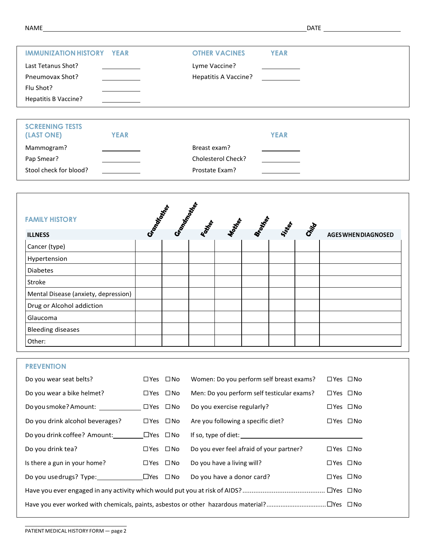| <b>IMMUNIZATION HISTORY YEAR</b>                     |            |                      | <b>OTHER VACINES</b>                       | <b>YEAR</b>            |                            |
|------------------------------------------------------|------------|----------------------|--------------------------------------------|------------------------|----------------------------|
| Last Tetanus Shot?                                   |            | Lyme Vaccine?        |                                            |                        |                            |
| Pneumovax Shot?                                      |            | Hepatitis A Vaccine? |                                            |                        |                            |
| Flu Shot?                                            |            |                      |                                            |                        |                            |
| Hepatitis B Vaccine?                                 |            |                      |                                            |                        |                            |
|                                                      |            |                      |                                            |                        |                            |
| <b>SCREENING TESTS</b><br>(LAST ONE)<br><b>YEAR</b>  |            |                      |                                            | <b>YEAR</b>            |                            |
| Mammogram?                                           |            |                      | Breast exam?                               |                        |                            |
| Pap Smear?                                           |            |                      | <b>Cholesterol Check?</b>                  |                        |                            |
| Stool check for blood?                               |            |                      | Prostate Exam?                             |                        |                            |
|                                                      |            |                      |                                            |                        |                            |
|                                                      |            |                      |                                            |                        |                            |
| <b>FAMILY HISTORY</b>                                | Grandbatti | Grapeston            | Motion                                     | <b>Brottles</b>        |                            |
| <b>ILLNESS</b>                                       |            |                      | Forther                                    | <b>STIRE</b><br>Childy | <b>AGES WHEN DIAGNOSED</b> |
| Cancer (type)                                        |            |                      |                                            |                        |                            |
| Hypertension                                         |            |                      |                                            |                        |                            |
| <b>Diabetes</b>                                      |            |                      |                                            |                        |                            |
| Stroke                                               |            |                      |                                            |                        |                            |
| Mental Disease (anxiety, depression)                 |            |                      |                                            |                        |                            |
| Drug or Alcohol addiction                            |            |                      |                                            |                        |                            |
| Glaucoma                                             |            |                      |                                            |                        |                            |
| <b>Bleeding diseases</b>                             |            |                      |                                            |                        |                            |
| Other:                                               |            |                      |                                            |                        |                            |
|                                                      |            |                      |                                            |                        |                            |
| <b>PREVENTION</b>                                    |            |                      |                                            |                        |                            |
| Do you wear seat belts?                              | □Yes □No   |                      | Women: Do you perform self breast exams?   |                        | □Yes □No                   |
| Do you wear a bike helmet?                           | □Yes □No   |                      | Men: Do you perform self testicular exams? |                        | □Yes □No                   |
| Do you smoke? Amount: ____________ □ Yes □ No        |            |                      | Do you exercise regularly?                 |                        | □Yes □No                   |
| Do you drink alcohol beverages?                      |            | $\Box$ Yes $\Box$ No | Are you following a specific diet?         |                        | □Yes □No                   |
| Do you drink coffee? Amount:<br>$\Box$ Yes $\Box$ No |            |                      |                                            |                        |                            |
| Do you drink tea?<br>□Yes □No                        |            |                      | Do you ever feel afraid of your partner?   |                        | $\Box$ Yes $\Box$ No       |
| Is there a gun in your home?<br>□Yes □No             |            |                      | Do you have a living will?                 |                        | □Yes □No                   |
|                                                      |            |                      | Do you have a donor card?                  |                        | □Yes □No                   |
|                                                      |            |                      |                                            |                        |                            |
|                                                      |            |                      |                                            |                        |                            |